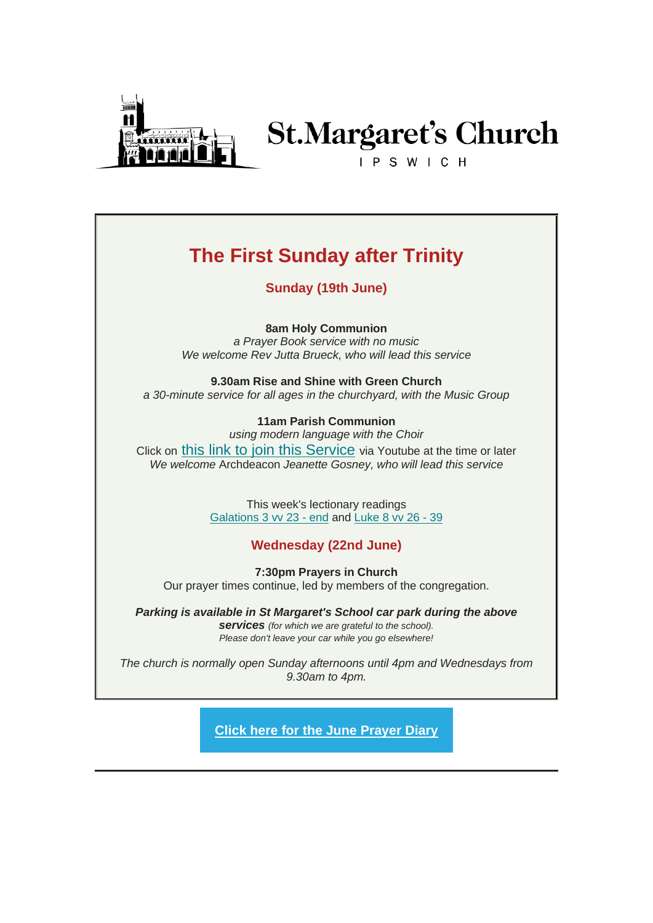

# **St.Margaret's Church**

IPSWICH

## **The First Sunday after Trinity**

**Sunday (19th June)**

**8am Holy Communion**

*a Prayer Book service with no music We welcome Rev Jutta Brueck, who will lead this service*

**9.30am Rise and Shine with Green Church**

*a 30-minute service for all ages in the churchyard, with the Music Group*

#### **11am Parish Communion**

*using modern language with the Choir* Click on [this link to join this Service](https://stmargaretsipswich.us18.list-manage.com/track/click?u=00f35ffe4f14f96cb2284d5af&id=fcb01b2718&e=a489694140) via Youtube at the time or later *We welcome* Archdeacon *Jeanette Gosney, who will lead this service*

> This week's lectionary readings [Galations 3 vv 23 -](https://stmargaretsipswich.us18.list-manage.com/track/click?u=00f35ffe4f14f96cb2284d5af&id=47067e40ab&e=a489694140) end and [Luke 8 vv 26 -](https://stmargaretsipswich.us18.list-manage.com/track/click?u=00f35ffe4f14f96cb2284d5af&id=134e1ea2f3&e=a489694140) 39

#### **Wednesday (22nd June)**

**7:30pm Prayers in Church** Our prayer times continue, led by members of the congregation.

*Parking is available in St Margaret's School car park during the above services (for which we are grateful to the school). Please don't leave your car while you go elsewhere!*

*The church is normally open Sunday afternoons until 4pm and Wednesdays from 9.30am to 4pm.*

**[Click here for the June Prayer Diary](https://stmargaretsipswich.us18.list-manage.com/track/click?u=00f35ffe4f14f96cb2284d5af&id=9f05f24d23&e=a489694140)**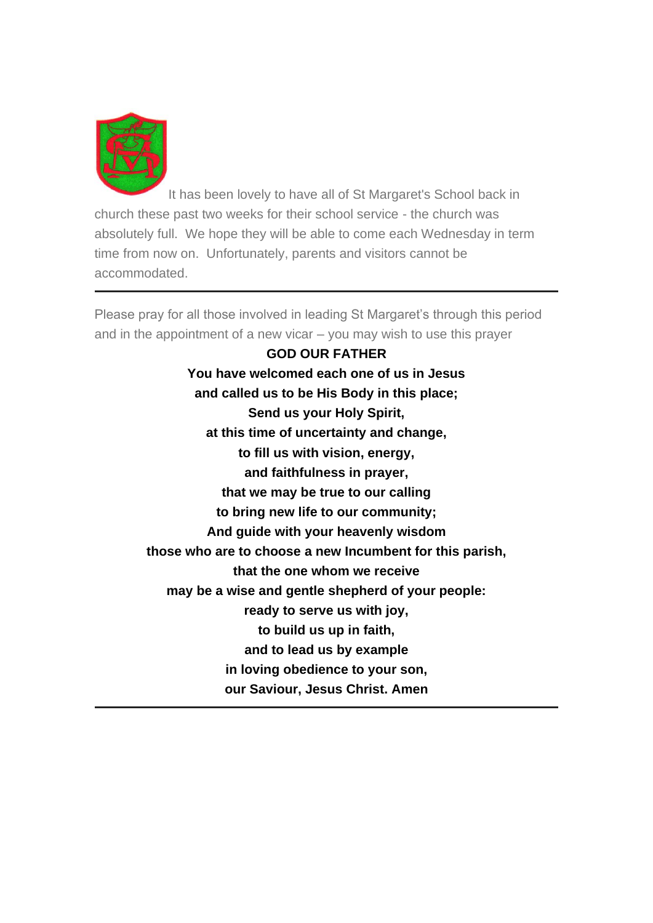

It has been lovely to have all of St Margaret's School back in church these past two weeks for their school service - the church was absolutely full. We hope they will be able to come each Wednesday in term time from now on. Unfortunately, parents and visitors cannot be accommodated.

Please pray for all those involved in leading St Margaret's through this period and in the appointment of a new vicar – you may wish to use this prayer

> **GOD OUR FATHER You have welcomed each one of us in Jesus and called us to be His Body in this place; Send us your Holy Spirit, at this time of uncertainty and change, to fill us with vision, energy, and faithfulness in prayer, that we may be true to our calling to bring new life to our community; And guide with your heavenly wisdom those who are to choose a new Incumbent for this parish, that the one whom we receive may be a wise and gentle shepherd of your people: ready to serve us with joy, to build us up in faith, and to lead us by example in loving obedience to your son, our Saviour, Jesus Christ. Amen**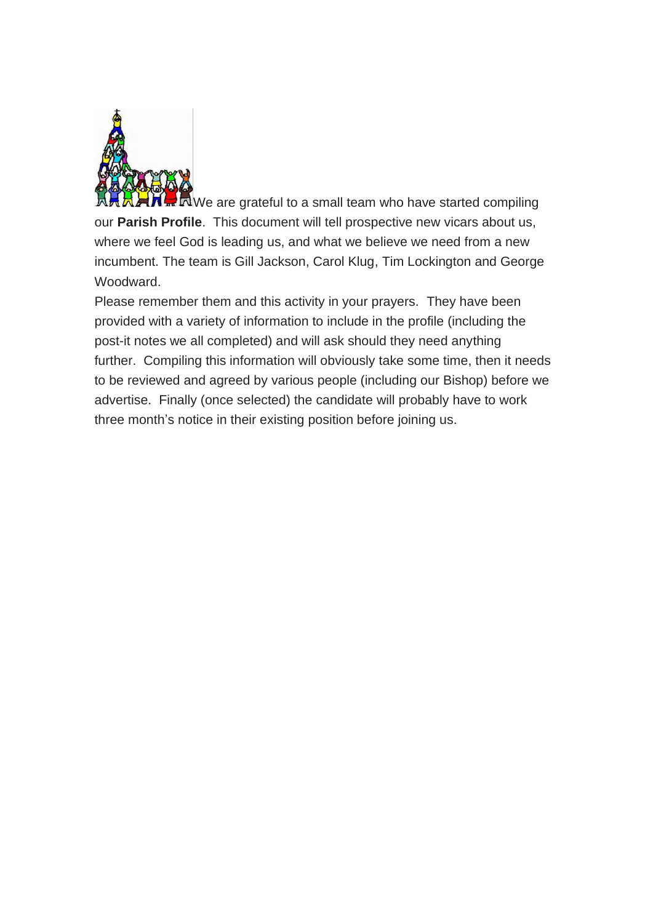

 $\mathbf{W}$   $\mathbf{R}$  We are grateful to a small team who have started compiling our **Parish Profile**. This document will tell prospective new vicars about us, where we feel God is leading us, and what we believe we need from a new incumbent. The team is Gill Jackson, Carol Klug, Tim Lockington and George Woodward.

Please remember them and this activity in your prayers. They have been provided with a variety of information to include in the profile (including the post-it notes we all completed) and will ask should they need anything further. Compiling this information will obviously take some time, then it needs to be reviewed and agreed by various people (including our Bishop) before we advertise. Finally (once selected) the candidate will probably have to work three month's notice in their existing position before joining us.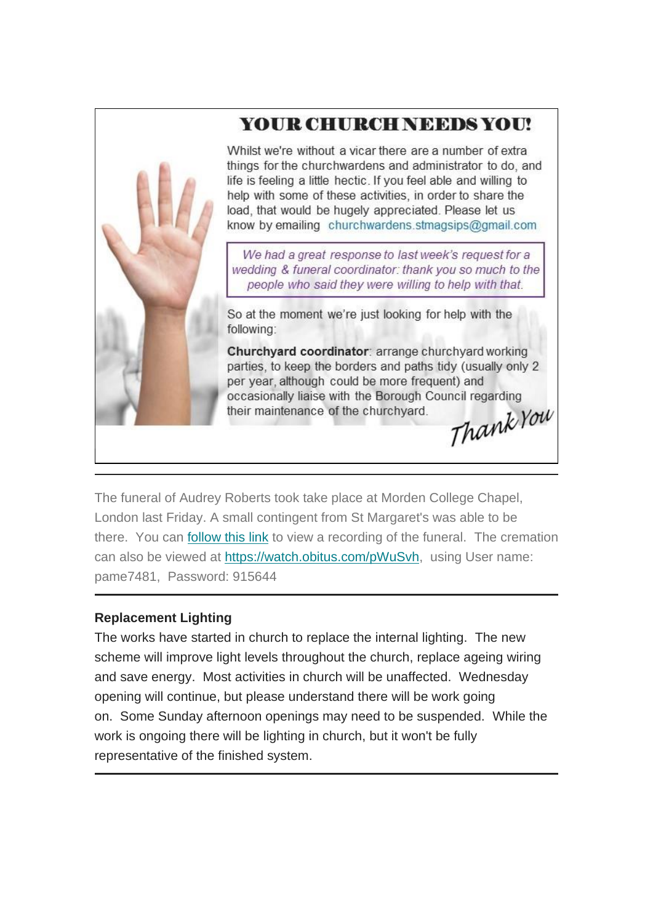### YOUR CHURCH NEEDS YOU!



Whilst we're without a vicar there are a number of extra things for the churchwardens and administrator to do, and life is feeling a little hectic. If you feel able and willing to help with some of these activities, in order to share the load, that would be hugely appreciated. Please let us know by emailing churchwardens.stmagsips@gmail.com

We had a great response to last week's request for a wedding & funeral coordinator: thank you so much to the people who said they were willing to help with that.

So at the moment we're just looking for help with the following:

Churchyard coordinator: arrange churchyard working parties, to keep the borders and paths tidy (usually only 2) per year, although could be more frequent) and occasionally liaise with the Borough Council regarding Thank You their maintenance of the churchyard.

The funeral of Audrey Roberts took take place at Morden College Chapel, London last Friday. A small contingent from St Margaret's was able to be there. You can [follow this link](https://stmargaretsipswich.us18.list-manage.com/track/click?u=00f35ffe4f14f96cb2284d5af&id=95a1eeadad&e=a489694140) to view a recording of the funeral. The cremation can also be viewed at [https://watch.obitus.com/pWuSvh,](https://stmargaretsipswich.us18.list-manage.com/track/click?u=00f35ffe4f14f96cb2284d5af&id=6bf8f30c27&e=a489694140) using User name: pame7481, Password: 915644

#### **Replacement Lighting**

The works have started in church to replace the internal lighting. The new scheme will improve light levels throughout the church, replace ageing wiring and save energy. Most activities in church will be unaffected. Wednesday opening will continue, but please understand there will be work going on. Some Sunday afternoon openings may need to be suspended. While the work is ongoing there will be lighting in church, but it won't be fully representative of the finished system.